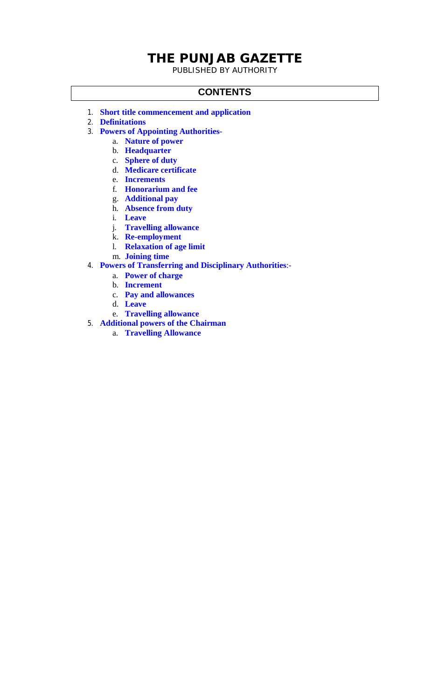# **THE PUNJAB GAZETTE**

PUBLISHED BY AUTHORITY

#### **CONTENTS**

- 1. **Short title commencement and application**
- 2. **Definitations**
- 3. **Powers of Appointing Authorities**
	- a. **Nature of power**
	- b. **Headquarter**
	- c. **Sphere of duty**
	- d. **Medicare certificate**
	- e. **Increments**
	- f. **Honorarium and fee**
	- g. **Additional pay**
	- h. **Absence from duty**
	- i. **Leave**
	- j. **Travelling allowance**
	- k. **Re-employment**
	- l. **Relaxation of age limit**
	- m. **Joining time**
- 4. **Powers of Transferring and Disciplinary Authorities**:
	- a. **Power of charge**
	- b. **Increment**
	- c. **Pay and allowances**
	- d. **Leave**
	- e. **Travelling allowance**
- 5. **Additional powers of the Chairman**
	- a. **Travelling Allowance**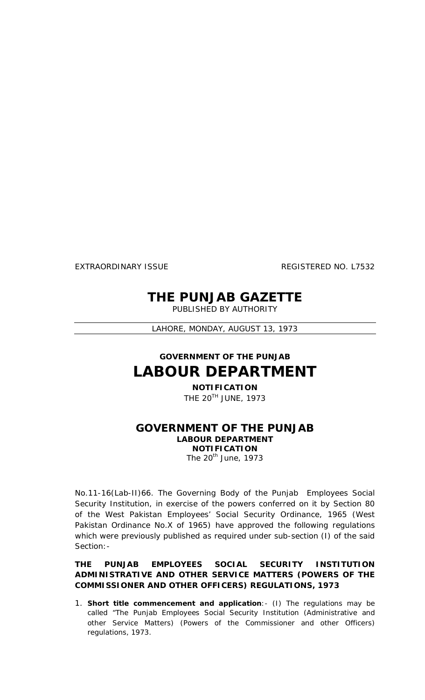EXTRAORDINARY ISSUE REGISTERED NO. L7532

# **THE PUNJAB GAZETTE**

PUBLISHED BY AUTHORITY

LAHORE, MONDAY, AUGUST 13, 1973

# **GOVERNMENT OF THE PUNJAB LABOUR DEPARTMENT**

**NOTIFICATION** THE 20TH JUNE, 1973

### **GOVERNMENT OF THE PUNJAB LABOUR DEPARTMENT NOTIFICATION**

The 20<sup>th</sup> June, 1973

No.11-16(Lab-II)66. The Governing Body of the Punjab Employees Social Security Institution, in exercise of the powers conferred on it by Section 80 of the West Pakistan Employees' Social Security Ordinance, 1965 (West Pakistan Ordinance No.X of 1965) have approved the following regulations which were previously published as required under sub-section (I) of the said Section:-

#### **THE PUNJAB EMPLOYEES SOCIAL SECURITY INSTITUTION ADMINISTRATIVE AND OTHER SERVICE MATTERS (POWERS OF THE COMMISSIONER AND OTHER OFFICERS) REGULATIONS, 1973**

1. **Short title commencement and application**:- (I) The regulations may be called "The Punjab Employees Social Security Institution (Administrative and other Service Matters) (Powers of the Commissioner and other Officers) regulations, 1973.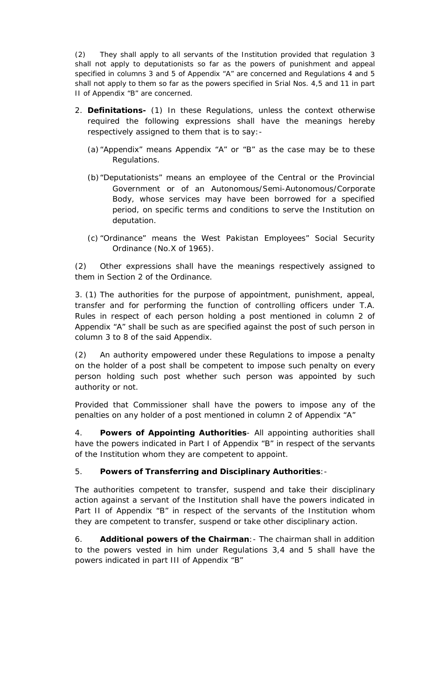(2) They shall apply to all servants of the Institution provided that regulation 3 shall not apply to deputationists so far as the powers of punishment and appeal specified in columns 3 and 5 of Appendix "A" are concerned and Regulations 4 and 5 shall not apply to them so far as the powers specified in Srial Nos. 4,5 and 11 in part II of Appendix "B" are concerned.

- 2. **Definitations-** (1) In these Regulations, unless the context otherwise required the following expressions shall have the meanings hereby respectively assigned to them that is to say:-
	- (a)"Appendix" means Appendix "A" or "B" as the case may be to these Regulations.
	- (b)"Deputationists" means an employee of the Central or the Provincial Government or of an Autonomous/Semi-Autonomous/Corporate Body, whose services may have been borrowed for a specified period, on specific terms and conditions to serve the Institution on deputation.
	- (c) "Ordinance" means the West Pakistan Employees" Social Security Ordinance (No.X of 1965).

(2) Other expressions shall have the meanings respectively assigned to them in Section 2 of the Ordinance.

3. (1) The authorities for the purpose of appointment, punishment, appeal, transfer and for performing the function of controlling officers under T.A. Rules in respect of each person holding a post mentioned in column 2 of Appendix "A" shall be such as are specified against the post of such person in column 3 to 8 of the said Appendix.

(2) An authority empowered under these Regulations to impose a penalty on the holder of a post shall be competent to impose such penalty on every person holding such post whether such person was appointed by such authority or not.

Provided that Commissioner shall have the powers to impose any of the penalties on any holder of a post mentioned in column 2 of Appendix "A"

4. **Powers of Appointing Authorities**- All appointing authorities shall have the powers indicated in Part I of Appendix "B" in respect of the servants of the Institution whom they are competent to appoint.

#### 5. **Powers of Transferring and Disciplinary Authorities**:-

The authorities competent to transfer, suspend and take their disciplinary action against a servant of the Institution shall have the powers indicated in Part II of Appendix "B" in respect of the servants of the Institution whom they are competent to transfer, suspend or take other disciplinary action.

6. **Additional powers of the Chairman**:- The chairman shall in addition to the powers vested in him under Regulations 3,4 and 5 shall have the powers indicated in part III of Appendix "B"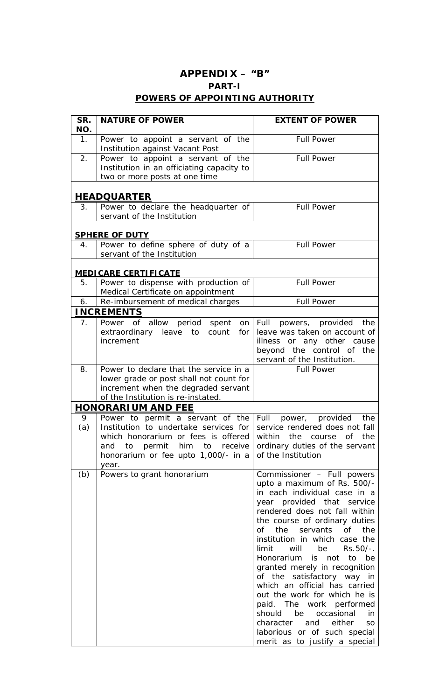## **APPENDIX – "B" PART-I POWERS OF APPOINTING AUTHORITY**

| SR.<br>NO.     | <b>NATURE OF POWER</b>                                                                                                                                                                              | <b>EXTENT OF POWER</b>                                                                                                                                                                                                                                                                                                                                                                                                                                                                                                                                                                                                               |
|----------------|-----------------------------------------------------------------------------------------------------------------------------------------------------------------------------------------------------|--------------------------------------------------------------------------------------------------------------------------------------------------------------------------------------------------------------------------------------------------------------------------------------------------------------------------------------------------------------------------------------------------------------------------------------------------------------------------------------------------------------------------------------------------------------------------------------------------------------------------------------|
| 1 <sub>1</sub> | Power to appoint a servant of the<br>Institution against Vacant Post                                                                                                                                | <b>Full Power</b>                                                                                                                                                                                                                                                                                                                                                                                                                                                                                                                                                                                                                    |
| 2.             | Power to appoint a servant of the<br>Institution in an officiating capacity to<br>two or more posts at one time                                                                                     | <b>Full Power</b>                                                                                                                                                                                                                                                                                                                                                                                                                                                                                                                                                                                                                    |
|                | <b>HEADQUARTER</b>                                                                                                                                                                                  |                                                                                                                                                                                                                                                                                                                                                                                                                                                                                                                                                                                                                                      |
| 3 <sub>1</sub> | Power to declare the headquarter of<br>servant of the Institution                                                                                                                                   | <b>Full Power</b>                                                                                                                                                                                                                                                                                                                                                                                                                                                                                                                                                                                                                    |
|                | <b>SPHERE OF DUTY</b>                                                                                                                                                                               |                                                                                                                                                                                                                                                                                                                                                                                                                                                                                                                                                                                                                                      |
| 4.             | Power to define sphere of duty of a<br>servant of the Institution                                                                                                                                   | <b>Full Power</b>                                                                                                                                                                                                                                                                                                                                                                                                                                                                                                                                                                                                                    |
|                | <b>MEDICARE CERTIFICATE</b>                                                                                                                                                                         |                                                                                                                                                                                                                                                                                                                                                                                                                                                                                                                                                                                                                                      |
| 5.             | Power to dispense with production of<br>Medical Certificate on appointment                                                                                                                          | <b>Full Power</b>                                                                                                                                                                                                                                                                                                                                                                                                                                                                                                                                                                                                                    |
| 6.             | Re-imbursement of medical charges                                                                                                                                                                   | <b>Full Power</b>                                                                                                                                                                                                                                                                                                                                                                                                                                                                                                                                                                                                                    |
|                | <b>INCREMENTS</b>                                                                                                                                                                                   |                                                                                                                                                                                                                                                                                                                                                                                                                                                                                                                                                                                                                                      |
| 7 <sub>1</sub> | allow<br>period spent<br>Power of<br>on<br>extraordinary<br>count<br>leave<br>to<br>for<br>increment                                                                                                | Full<br>powers, provided<br>the<br>leave was taken on account of<br>illness or any other cause<br>beyond the control of the<br>servant of the Institution.                                                                                                                                                                                                                                                                                                                                                                                                                                                                           |
| 8.             | Power to declare that the service in a<br>lower grade or post shall not count for<br>increment when the degraded servant<br>of the Institution is re-instated.                                      | <b>Full Power</b>                                                                                                                                                                                                                                                                                                                                                                                                                                                                                                                                                                                                                    |
|                | <b>HONORARIUM AND FEE</b>                                                                                                                                                                           |                                                                                                                                                                                                                                                                                                                                                                                                                                                                                                                                                                                                                                      |
| 9<br>(a)       | Power to permit a servant of the<br>Institution to undertake services for<br>which honorarium or fees is offered<br>to permit him to receive<br>and<br>honorarium or fee upto 1,000/- in a<br>year. | Full<br>provided<br>the<br>power,<br>service rendered does not fall<br>within the course of the<br>ordinary duties of the servant<br>of the Institution                                                                                                                                                                                                                                                                                                                                                                                                                                                                              |
| (b)            | Powers to grant honorarium                                                                                                                                                                          | Commissioner - Full powers<br>upto a maximum of Rs. 500/-<br>in each individual case in a<br>year provided that service<br>rendered does not fall within<br>the course of ordinary duties<br>of the servants of<br>the<br>institution in which case the<br>be<br>limit<br>will<br>$Rs.50/-.$<br>Honorarium is not to be<br>granted merely in recognition<br>of the satisfactory way in<br>which an official has carried<br>out the work for which he is<br>paid. The work performed<br>be<br>occasional<br>should<br>in.<br>character<br>and<br>either<br><b>SO</b><br>laborious or of such special<br>merit as to justify a special |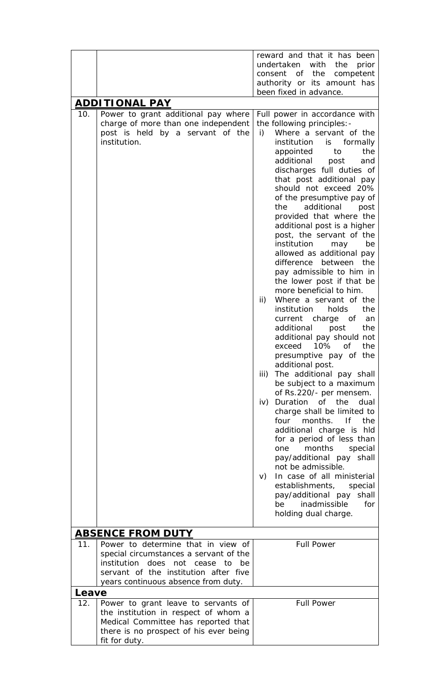|       |                                                                                                                                                                                                                 | reward and that it has been                                                                                                                                                                                                                                                                                                                                                                                                                                                                                                                                                                                                                                                                                                                        |
|-------|-----------------------------------------------------------------------------------------------------------------------------------------------------------------------------------------------------------------|----------------------------------------------------------------------------------------------------------------------------------------------------------------------------------------------------------------------------------------------------------------------------------------------------------------------------------------------------------------------------------------------------------------------------------------------------------------------------------------------------------------------------------------------------------------------------------------------------------------------------------------------------------------------------------------------------------------------------------------------------|
|       |                                                                                                                                                                                                                 | undertaken with<br>the<br>prior                                                                                                                                                                                                                                                                                                                                                                                                                                                                                                                                                                                                                                                                                                                    |
|       |                                                                                                                                                                                                                 | consent of the<br>competent                                                                                                                                                                                                                                                                                                                                                                                                                                                                                                                                                                                                                                                                                                                        |
|       |                                                                                                                                                                                                                 | authority or its amount has                                                                                                                                                                                                                                                                                                                                                                                                                                                                                                                                                                                                                                                                                                                        |
|       |                                                                                                                                                                                                                 | been fixed in advance.                                                                                                                                                                                                                                                                                                                                                                                                                                                                                                                                                                                                                                                                                                                             |
|       | <u>ADDITIONAL PAY</u>                                                                                                                                                                                           |                                                                                                                                                                                                                                                                                                                                                                                                                                                                                                                                                                                                                                                                                                                                                    |
| 10.   | Power to grant additional pay where<br>charge of more than one independent<br>post is held by a servant of the<br>institution.                                                                                  | Full power in accordance with<br>the following principles: -<br>Where a servant of the<br>i)<br>institution<br>formally<br>is.<br>the<br>appointed<br>to<br>additional<br>post<br>and<br>discharges full duties of<br>that post additional pay<br>should not exceed 20%<br>of the presumptive pay of<br>additional<br>the<br>post<br>provided that where the<br>additional post is a higher<br>post, the servant of the<br>institution<br>may<br>be<br>allowed as additional pay<br>difference<br>between<br>the<br>pay admissible to him in<br>the lower post if that be<br>more beneficial to him.                                                                                                                                               |
|       |                                                                                                                                                                                                                 | $\mathsf{ii}$<br>Where a servant of the<br>the<br>institution<br>holds<br>current<br>charge of<br>an<br>additional<br>post<br>the<br>additional pay should not<br>10%<br><b>of</b><br>the<br>exceed<br>presumptive pay of the<br>additional post.<br>iii)<br>The additional pay shall<br>be subject to a maximum<br>of Rs.220/- per mensem.<br>Duration of the<br>dual<br>$\mathsf{iv}$<br>charge shall be limited to<br>months. If<br>the<br>four<br>additional charge is hld<br>for a period of less than<br>months<br>special<br>one<br>pay/additional pay<br>shall<br>not be admissible.<br>In case of all ministerial<br>V)<br>establishments,<br>special<br>pay/additional pay<br>shall<br>inadmissible<br>for<br>be<br>holding dual charge. |
|       | <b>ABSENCE FROM DUTY</b>                                                                                                                                                                                        |                                                                                                                                                                                                                                                                                                                                                                                                                                                                                                                                                                                                                                                                                                                                                    |
| 11.   | Power to determine that in view of<br>special circumstances a servant of the<br>institution<br>does<br>not<br>cease<br>to<br>be<br>servant of the institution after five<br>years continuous absence from duty. | <b>Full Power</b>                                                                                                                                                                                                                                                                                                                                                                                                                                                                                                                                                                                                                                                                                                                                  |
| Leave |                                                                                                                                                                                                                 |                                                                                                                                                                                                                                                                                                                                                                                                                                                                                                                                                                                                                                                                                                                                                    |
| 12.   | Power to grant leave to servants of<br>the institution in respect of whom a<br>Medical Committee has reported that<br>there is no prospect of his ever being<br>fit for duty.                                   | <b>Full Power</b>                                                                                                                                                                                                                                                                                                                                                                                                                                                                                                                                                                                                                                                                                                                                  |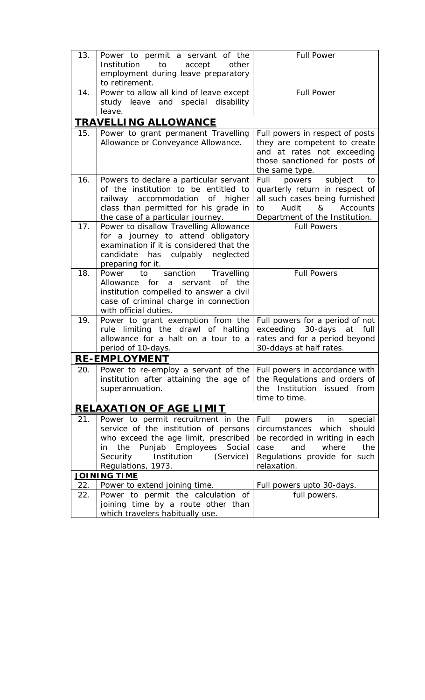| 13. | Power to permit a servant of the                     | <b>Full Power</b>                |
|-----|------------------------------------------------------|----------------------------------|
|     | to<br>accept<br>Institution<br>other                 |                                  |
|     | employment during leave preparatory                  |                                  |
|     | to retirement.                                       |                                  |
| 14. | Power to allow all kind of leave except              | <b>Full Power</b>                |
|     | study leave and special disability                   |                                  |
|     | leave.                                               |                                  |
|     | <b>TRAVELLING ALLOWANCE</b>                          |                                  |
| 15. | Power to grant permanent Travelling                  | Full powers in respect of posts  |
|     | Allowance or Conveyance Allowance.                   | they are competent to create     |
|     |                                                      | and at rates not exceeding       |
|     |                                                      | those sanctioned for posts of    |
|     |                                                      | the same type.                   |
| 16. | Powers to declare a particular servant               | subject<br>powers<br>Full<br>to  |
|     | of the institution to be entitled to                 | quarterly return in respect of   |
|     | railway accommodation<br>higher<br>0f                | all such cases being furnished   |
|     | class than permitted for his grade in                | Accounts<br>to<br>Audit<br>&     |
|     | the case of a particular journey.                    | Department of the Institution.   |
| 17. | Power to disallow Travelling Allowance               | <b>Full Powers</b>               |
|     | for a journey to attend obligatory                   |                                  |
|     | examination if it is considered that the             |                                  |
|     | has culpably neglected<br>candidate                  |                                  |
|     | preparing for it.                                    |                                  |
| 18. | Travelling<br>sanction<br>Power<br>to                | <b>Full Powers</b>               |
|     | Allowance for a servant<br>of<br>the                 |                                  |
|     | institution compelled to answer a civil              |                                  |
|     | case of criminal charge in connection                |                                  |
|     | with official duties.                                |                                  |
| 19. | Power to grant exemption from the                    | Full powers for a period of not  |
|     | rule limiting the drawl of halting                   | exceeding 30-days<br>at<br>full  |
|     | allowance for a halt on a tour to a                  | rates and for a period beyond    |
|     | period of 10-days.                                   | 30-ddays at half rates.          |
|     | RE-EMPLOYMENT                                        |                                  |
| 20. | Power to re-employ a servant of the                  | Full powers in accordance with   |
|     | institution after attaining the age of               | the Regulations and orders of    |
|     | superannuation.                                      | the Institution issued from      |
|     |                                                      | time to time.                    |
|     | <b>RELAXATION OF AGE LIMIT</b>                       |                                  |
| 21. | Power to permit recruitment in the                   | Full<br>special<br>powers in     |
|     | service of the institution of persons                | which<br>circumstances<br>should |
|     | who exceed the age limit, prescribed                 | be recorded in writing in each   |
|     | Punjab Employees Social<br>the<br>in.                | where<br>and<br>the<br>case      |
|     | Security<br>Institution<br>(Service)                 | Regulations provide for such     |
|     | Regulations, 1973.                                   | relaxation.                      |
| 22. | <u>JOINING TIME</u><br>Power to extend joining time. | Full powers upto 30-days.        |
| 22. | Power to permit the calculation of                   | full powers.                     |
|     | joining time by a route other than                   |                                  |
|     | which travelers habitually use.                      |                                  |
|     |                                                      |                                  |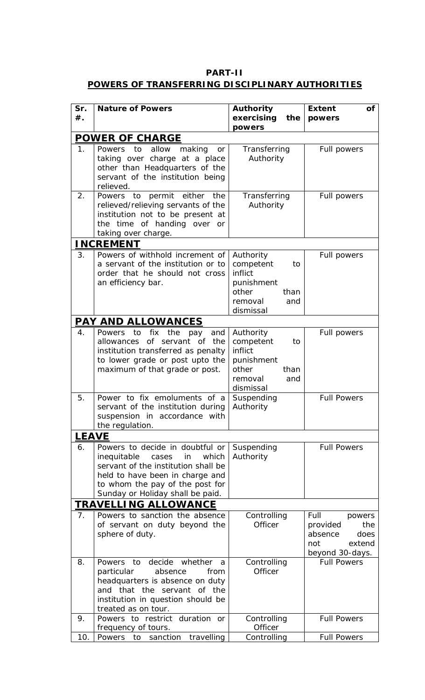### **PART-II POWERS OF TRANSFERRING DISCIPLINARY AUTHORITIES**

| Sr.            | <b>Nature of Powers</b>                                                                                                                                                                                                 | <b>Authority</b>                                                                                      | <b>Extent</b><br>Οf                                                                      |
|----------------|-------------------------------------------------------------------------------------------------------------------------------------------------------------------------------------------------------------------------|-------------------------------------------------------------------------------------------------------|------------------------------------------------------------------------------------------|
| $#$ .          |                                                                                                                                                                                                                         | exercising<br>the<br>powers                                                                           | powers                                                                                   |
|                | <b>POWER OF CHARGE</b>                                                                                                                                                                                                  |                                                                                                       |                                                                                          |
| 1 <sub>1</sub> | Powers to<br>allow<br>making<br>or<br>taking over charge at a place<br>other than Headquarters of the<br>servant of the institution being<br>relieved.                                                                  | Transferring<br>Authority                                                                             | Full powers                                                                              |
| 2.             | permit either the<br>Powers to<br>relieved/relieving servants of the<br>institution not to be present at<br>the time of handing over or<br>taking over charge.                                                          | Transferring<br>Authority                                                                             | Full powers                                                                              |
|                | <b>INCREMENT</b>                                                                                                                                                                                                        |                                                                                                       |                                                                                          |
| 3.             | Powers of withhold increment of<br>a servant of the institution or to<br>order that he should not cross<br>an efficiency bar.                                                                                           | Authority<br>competent<br>to<br>inflict<br>punishment<br>other<br>than<br>removal<br>and<br>dismissal | Full powers                                                                              |
|                | <u>PAY AND ALLOWANCES</u>                                                                                                                                                                                               |                                                                                                       |                                                                                          |
| 4.             | Powers<br>to<br>fix the pay<br>and<br>of servant of the<br>allowances<br>institution transferred as penalty<br>to lower grade or post upto the<br>maximum of that grade or post.                                        | Authority<br>competent<br>to<br>inflict<br>punishment<br>other<br>than<br>removal<br>and<br>dismissal | Full powers                                                                              |
| 5.             | Power to fix emoluments of a<br>servant of the institution during<br>suspension in accordance with<br>the regulation.                                                                                                   | Suspending<br>Authority                                                                               | <b>Full Powers</b>                                                                       |
| <b>LEAVE</b>   |                                                                                                                                                                                                                         |                                                                                                       |                                                                                          |
| 6.             | Powers to decide in doubtful or<br>inequitable<br>which<br>cases<br>in<br>servant of the institution shall be<br>held to have been in charge and<br>to whom the pay of the post for<br>Sunday or Holiday shall be paid. | Suspending<br>Authority                                                                               | <b>Full Powers</b>                                                                       |
|                | <b>TRAVELLING ALLOWANCE</b>                                                                                                                                                                                             |                                                                                                       |                                                                                          |
| 7 <sub>1</sub> | Powers to sanction the absence<br>of servant on duty beyond the<br>sphere of duty.                                                                                                                                      | Controlling<br><b>Officer</b>                                                                         | Full<br>powers<br>the<br>provided<br>absence<br>does<br>not<br>extend<br>beyond 30-days. |
| 8.             | decide whether<br>to<br>Powers<br>a<br>particular<br>absence<br>from<br>headquarters is absence on duty<br>and that the servant of the<br>institution in question should be<br>treated as on tour.                      | Controlling<br>Officer                                                                                | <b>Full Powers</b>                                                                       |
| 9.             | Powers to restrict duration or<br>frequency of tours.                                                                                                                                                                   | Controlling<br>Officer                                                                                | <b>Full Powers</b>                                                                       |
| 10.            | travelling<br>Powers<br>to<br>sanction                                                                                                                                                                                  | Controlling                                                                                           | <b>Full Powers</b>                                                                       |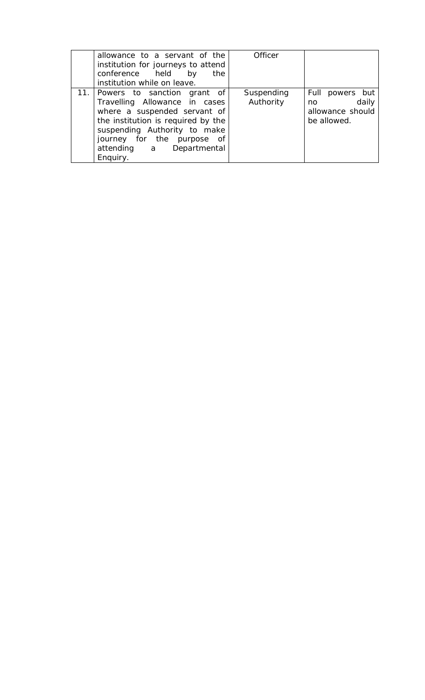| allowance to a servant of the<br>institution for journeys to attend<br>conference held<br>by<br>the<br>institution while on leave.                                                                                                           | Officer                 |                                                                    |
|----------------------------------------------------------------------------------------------------------------------------------------------------------------------------------------------------------------------------------------------|-------------------------|--------------------------------------------------------------------|
| 11. Powers to sanction grant of<br>Travelling Allowance in cases<br>where a suspended servant of<br>the institution is required by the<br>suspending Authority to make<br>journey for the purpose of<br>attending a Departmental<br>Enquiry. | Suspending<br>Authority | Full powers but<br>daily<br>no.<br>allowance should<br>be allowed. |